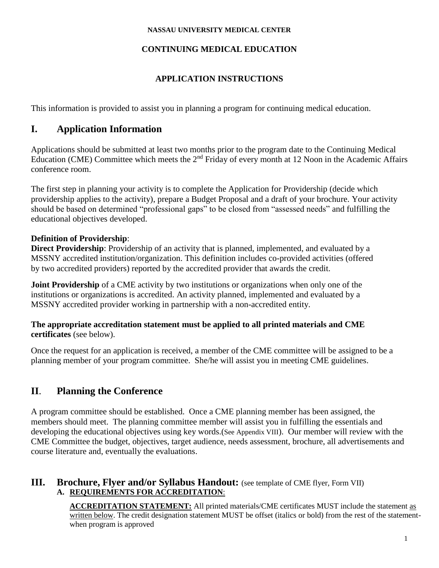#### **NASSAU UNIVERSITY MEDICAL CENTER**

### **CONTINUING MEDICAL EDUCATION**

## **APPLICATION INSTRUCTIONS**

This information is provided to assist you in planning a program for continuing medical education.

# **I. Application Information**

Applications should be submitted at least two months prior to the program date to the Continuing Medical Education (CME) Committee which meets the 2nd Friday of every month at 12 Noon in the Academic Affairs conference room.

The first step in planning your activity is to complete the Application for Providership (decide which providership applies to the activity), prepare a Budget Proposal and a draft of your brochure. Your activity should be based on determined "professional gaps" to be closed from "assessed needs" and fulfilling the educational objectives developed.

## **Definition of Providership**:

**Direct Providership**: Providership of an activity that is planned, implemented, and evaluated by a MSSNY accredited institution/organization. This definition includes co-provided activities (offered by two accredited providers) reported by the accredited provider that awards the credit.

**Joint Providership** of a CME activity by two institutions or organizations when only one of the institutions or organizations is accredited. An activity planned, implemented and evaluated by a MSSNY accredited provider working in partnership with a non-accredited entity.

#### **The appropriate accreditation statement must be applied to all printed materials and CME certificates** (see below).

Once the request for an application is received, a member of the CME committee will be assigned to be a planning member of your program committee. She/he will assist you in meeting CME guidelines.

# **II**. **Planning the Conference**

A program committee should be established. Once a CME planning member has been assigned, the members should meet. The planning committee member will assist you in fulfilling the essentials and developing the educational objectives using key words.(See Appendix VIII). Our member will review with the CME Committee the budget, objectives, target audience, needs assessment, brochure, all advertisements and course literature and, eventually the evaluations.

### **III. Brochure, Flyer and/or Syllabus Handout:** (see template of CME flyer, Form VII) **A. REQUIREMENTS FOR ACCREDITATION**:

**ACCREDITATION STATEMENT:** All printed materials/CME certificates MUST include the statement as written below. The credit designation statement MUST be offset (italics or bold) from the rest of the statementwhen program is approved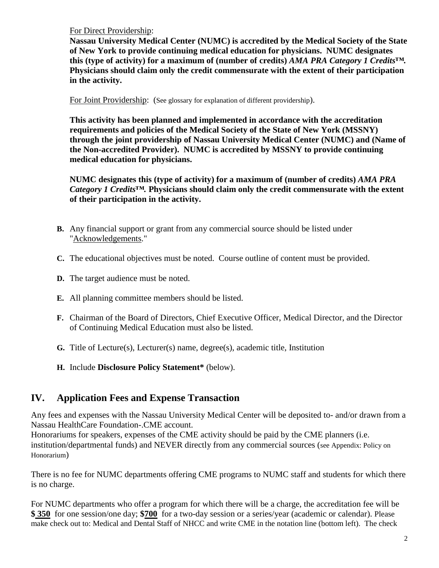For Direct Providership:

**Nassau University Medical Center (NUMC) is accredited by the Medical Society of the State of New York to provide continuing medical education for physicians. NUMC designates this (type of activity) for a maximum of (number of credits)** *AMA PRA Category 1 Credits™.* **Physicians should claim only the credit commensurate with the extent of their participation in the activity.**

For Joint Providership: (See glossary for explanation of different providership).

**This activity has been planned and implemented in accordance with the accreditation requirements and policies of the Medical Society of the State of New York (MSSNY) through the joint providership of Nassau University Medical Center (NUMC) and (Name of the Non-accredited Provider). NUMC is accredited by MSSNY to provide continuing medical education for physicians.**

**NUMC designates this (type of activity) for a maximum of (number of credits)** *AMA PRA Category 1 Credits™.* **Physicians should claim only the credit commensurate with the extent of their participation in the activity.**

- **B.** Any financial support or grant from any commercial source should be listed under "Acknowledgements."
- **C.** The educational objectives must be noted. Course outline of content must be provided.
- **D.** The target audience must be noted.
- **E.** All planning committee members should be listed.
- **F.** Chairman of the Board of Directors, Chief Executive Officer, Medical Director, and the Director of Continuing Medical Education must also be listed.
- **G.** Title of Lecture(s), Lecturer(s) name, degree(s), academic title, Institution
- **H.** Include **Disclosure Policy Statement\*** (below).

# **IV. Application Fees and Expense Transaction**

Any fees and expenses with the Nassau University Medical Center will be deposited to- and/or drawn from a Nassau HealthCare Foundation-.CME account.

Honorariums for speakers, expenses of the CME activity should be paid by the CME planners (i.e. institution/departmental funds) and NEVER directly from any commercial sources (see Appendix: Policy on Honorarium)

There is no fee for NUMC departments offering CME programs to NUMC staff and students for which there is no charge.

For NUMC departments who offer a program for which there will be a charge, the accreditation fee will be **\$ 350** for one session/one day; **\$700** for a two-day session or a series/year (academic or calendar). Please make check out to: Medical and Dental Staff of NHCC and write CME in the notation line (bottom left). The check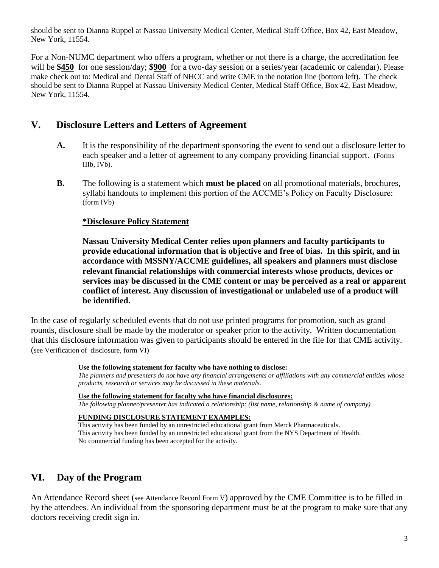should be sent to Dianna Ruppel at Nassau University Medical Center, Medical Staff Office, Box 42, East Meadow, New York, 11554.

For a Non-NUMC department who offers a program, whether or not there is a charge, the accreditation fee will be \$450 for one session/day; \$900 for a two-day session or a series/year (academic or calendar). Please make check out to: Medical and Dental Staff of NHCC and write CME in the notation line (bottom left). The check should be sent to Dianna Ruppel at Nassau University Medical Center, Medical Staff Office, Box 42, East Meadow, New York, 11554.

## **V. Disclosure Letters and Letters of Agreement**

- **A.** It is the responsibility of the department sponsoring the event to send out a disclosure letter to each speaker and a letter of agreement to any company providing financial support. (Forms IIIb, IVb).
- **B.** The following is a statement which **must be placed** on all promotional materials, brochures, syllabi handouts to implement this portion of the ACCME's Policy on Faculty Disclosure: (form IVb)

#### **\*Disclosure Policy Statement**

 **Nassau University Medical Center relies upon planners and faculty participants to provide educational information that is objective and free of bias. In this spirit, and in accordance with MSSNY/ACCME guidelines, all speakers and planners must disclose relevant financial relationships with commercial interests whose products, devices or services may be discussed in the CME content or may be perceived as a real or apparent conflict of interest. Any discussion of investigational or unlabeled use of a product will be identified.**

In the case of regularly scheduled events that do not use printed programs for promotion, such as grand rounds, disclosure shall be made by the moderator or speaker prior to the activity. Written documentation that this disclosure information was given to participants should be entered in the file for that CME activity. (see Verification of disclosure, form VI)

#### **Use the following statement for faculty who have nothing to disclose:**

*The planners and presenters do not have any financial arrangements or affiliations with any commercial entities whose products, research or services may be discussed in these materials.*

**Use the following statement for faculty who have financial disclosures:**

*The following planner/presenter has indicated a relationship: (list name, relationship & name of company)*

#### **FUNDING DISCLOSURE STATEMENT EXAMPLES:**

This activity has been funded by an unrestricted educational grant from Merck Pharmaceuticals. This activity has been funded by an unrestricted educational grant from the NYS Department of Health. No commercial funding has been accepted for the activity.

## **VI. Day of the Program**

An Attendance Record sheet (see Attendance Record Form V) approved by the CME Committee is to be filled in by the attendees. An individual from the sponsoring department must be at the program to make sure that any doctors receiving credit sign in.